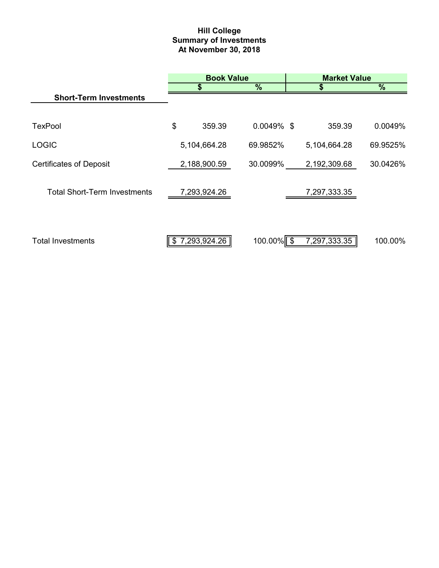# **Hill College Summary of Investments At November 30, 2018**

|                                     | <b>Book Value</b> |              |               | <b>Market Value</b> |               |  |
|-------------------------------------|-------------------|--------------|---------------|---------------------|---------------|--|
|                                     |                   |              | $\frac{9}{6}$ |                     | $\frac{9}{6}$ |  |
| <b>Short-Term Investments</b>       |                   |              |               |                     |               |  |
|                                     |                   |              |               |                     |               |  |
| <b>TexPool</b>                      | \$                | 359.39       | $0.0049\%$ \$ | 359.39              | 0.0049%       |  |
| <b>LOGIC</b>                        |                   | 5,104,664.28 | 69.9852%      | 5,104,664.28        | 69.9525%      |  |
| <b>Certificates of Deposit</b>      |                   | 2,188,900.59 | 30.0099%      | 2,192,309.68        | 30.0426%      |  |
| <b>Total Short-Term Investments</b> |                   | 7,293,924.26 |               | 7,297,333.35        |               |  |
| <b>Total Investments</b>            | \$                | 7,293,924.26 | 100.00%       | 7,297,333.35        | 100.00%       |  |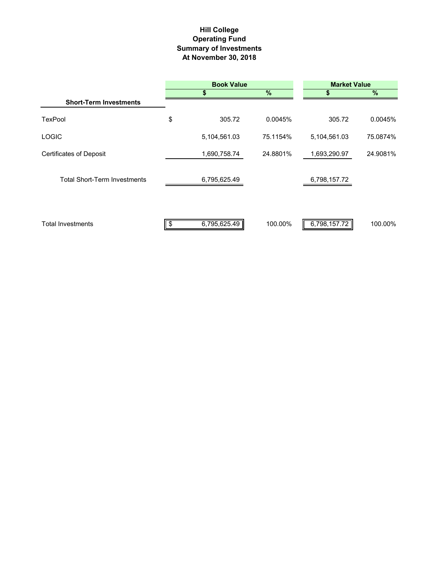# **Hill College Operating Fund At November 30, 2018 Summary of Investments**

|                                     | <b>Book Value</b> |              |          | <b>Market Value</b> |          |  |  |
|-------------------------------------|-------------------|--------------|----------|---------------------|----------|--|--|
|                                     |                   | S            | $\%$     |                     | $\%$     |  |  |
| <b>Short-Term Investments</b>       |                   |              |          |                     |          |  |  |
| <b>TexPool</b>                      | \$                | 305.72       | 0.0045%  | 305.72              | 0.0045%  |  |  |
| <b>LOGIC</b>                        |                   | 5,104,561.03 | 75.1154% | 5,104,561.03        | 75.0874% |  |  |
| <b>Certificates of Deposit</b>      |                   | 1,690,758.74 | 24.8801% | 1,693,290.97        | 24.9081% |  |  |
| <b>Total Short-Term Investments</b> |                   | 6,795,625.49 |          | 6,798,157.72        |          |  |  |
| <b>Total Investments</b>            | -\$               | 6,795,625.49 | 100.00%  | 6,798,157.72        | 100.00%  |  |  |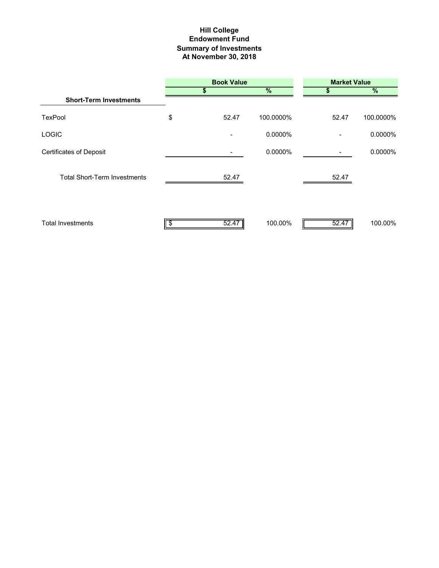### **Hill College Endowment Fund Summary of Investments At November 30, 2018**

|                                     | <b>Book Value</b> |               |       | <b>Market Value</b> |
|-------------------------------------|-------------------|---------------|-------|---------------------|
|                                     | \$                | $\frac{9}{6}$ |       | $\%$                |
| <b>Short-Term Investments</b>       |                   |               |       |                     |
| TexPool                             | \$<br>52.47       | 100.0000%     | 52.47 | 100.0000%           |
| <b>LOGIC</b>                        |                   | 0.0000%       |       | 0.0000%             |
| <b>Certificates of Deposit</b>      |                   | 0.0000%       |       | 0.0000%             |
| <b>Total Short-Term Investments</b> | 52.47             |               | 52.47 |                     |
| <b>Total Investments</b>            | 52.47             | 100.00%       | 52.47 | 100.00%             |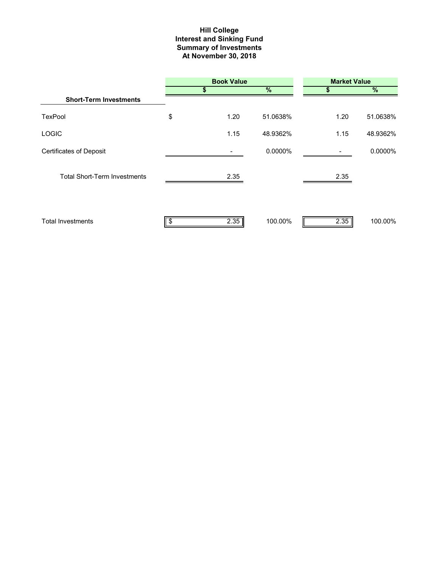#### **Hill College Interest and Sinking Fund Summary of Investments At November 30, 2018**

|                                     | <b>Book Value</b> |               |      | <b>Market Value</b> |  |  |  |
|-------------------------------------|-------------------|---------------|------|---------------------|--|--|--|
|                                     | \$                | $\frac{9}{6}$ | S    | $\frac{9}{6}$       |  |  |  |
| <b>Short-Term Investments</b>       |                   |               |      |                     |  |  |  |
| <b>TexPool</b>                      | \$<br>1.20        | 51.0638%      | 1.20 | 51.0638%            |  |  |  |
| <b>LOGIC</b>                        | 1.15              | 48.9362%      | 1.15 | 48.9362%            |  |  |  |
| <b>Certificates of Deposit</b>      |                   | 0.0000%       |      | 0.0000%             |  |  |  |
| <b>Total Short-Term Investments</b> | 2.35              |               | 2.35 |                     |  |  |  |
| <b>Total Investments</b>            | \$<br>2.35        | 100.00%       | 2.35 | 100.00%             |  |  |  |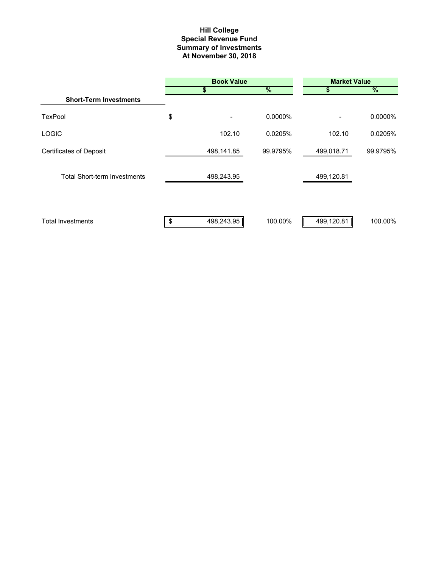#### **Summary of Investments At November 30, 2018 Special Revenue Fund Hill College**

|                                     |    | <b>Book Value</b>      |            | <b>Market Value</b> |  |  |  |
|-------------------------------------|----|------------------------|------------|---------------------|--|--|--|
|                                     | S  | $\frac{9}{6}$          | \$         | %                   |  |  |  |
| <b>Short-Term Investments</b>       |    |                        |            |                     |  |  |  |
| <b>TexPool</b>                      | \$ | 0.0000%                |            | 0.0000%             |  |  |  |
| <b>LOGIC</b>                        |    | 102.10<br>0.0205%      | 102.10     | 0.0205%             |  |  |  |
| <b>Certificates of Deposit</b>      |    | 498,141.85<br>99.9795% | 499,018.71 | 99.9795%            |  |  |  |
| <b>Total Short-term Investments</b> |    | 498,243.95             | 499,120.81 |                     |  |  |  |
| <b>Total Investments</b>            |    | 498,243.95<br>100.00%  | 499,120.81 | 100.00%             |  |  |  |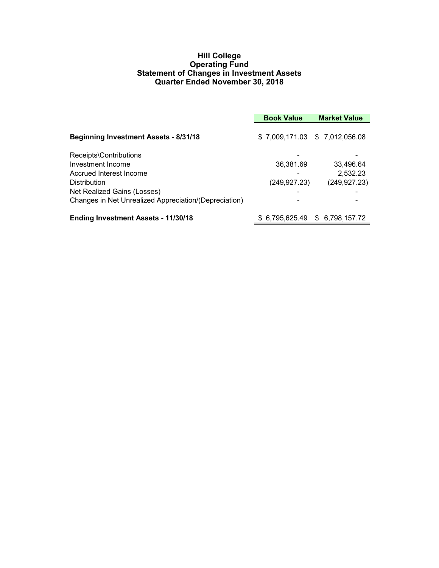#### **Hill College Operating Fund Statement of Changes in Investment Assets Quarter Ended November 30, 2018**

|                                                       | <b>Book Value</b> | <b>Market Value</b>           |
|-------------------------------------------------------|-------------------|-------------------------------|
| <b>Beginning Investment Assets - 8/31/18</b>          |                   | \$7,009,171.03 \$7,012,056.08 |
| Receipts\Contributions                                |                   |                               |
| Investment Income                                     | 36,381.69         | 33,496.64                     |
| Accrued Interest Income                               |                   | 2,532.23                      |
| Distribution                                          | (249, 927.23)     | (249, 927.23)                 |
| Net Realized Gains (Losses)                           |                   |                               |
| Changes in Net Unrealized Appreciation/(Depreciation) |                   |                               |
| <b>Ending Investment Assets - 11/30/18</b>            | \$ 6,795,625.49   | \$6,798,157.72                |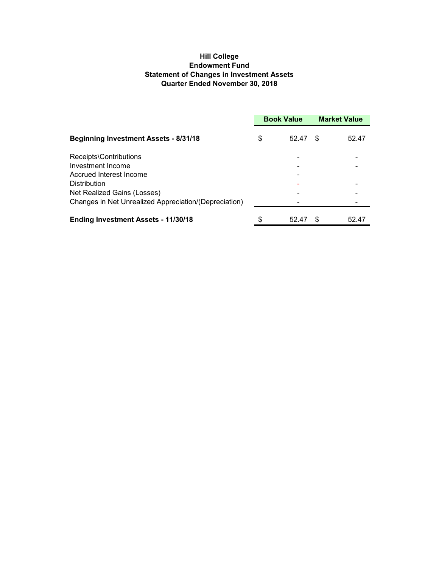#### **Hill College Endowment Fund Statement of Changes in Investment Assets Quarter Ended November 30, 2018**

|                                                       | <b>Book Value</b> |       | <b>Market Value</b> |       |
|-------------------------------------------------------|-------------------|-------|---------------------|-------|
| <b>Beginning Investment Assets - 8/31/18</b>          | \$                | 52.47 | -S                  | 52.47 |
| Receipts\Contributions                                |                   |       |                     |       |
| Investment Income                                     |                   |       |                     |       |
| Accrued Interest Income                               |                   |       |                     |       |
| <b>Distribution</b>                                   |                   |       |                     |       |
| Net Realized Gains (Losses)                           |                   |       |                     |       |
| Changes in Net Unrealized Appreciation/(Depreciation) |                   |       |                     |       |
| <b>Ending Investment Assets - 11/30/18</b>            |                   | 52.47 |                     | 52.47 |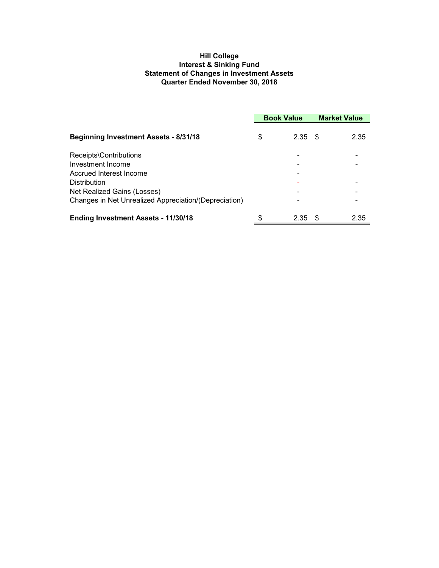#### **Hill College Interest & Sinking Fund Statement of Changes in Investment Assets Quarter Ended November 30, 2018**

|                                                       | <b>Book Value</b> |           | <b>Market Value</b> |      |
|-------------------------------------------------------|-------------------|-----------|---------------------|------|
| <b>Beginning Investment Assets - 8/31/18</b>          | \$                | $2.35$ \$ |                     | 2.35 |
| Receipts\Contributions                                |                   |           |                     |      |
| Investment Income                                     |                   |           |                     |      |
| Accrued Interest Income                               |                   |           |                     |      |
| <b>Distribution</b>                                   |                   |           |                     |      |
| Net Realized Gains (Losses)                           |                   |           |                     |      |
| Changes in Net Unrealized Appreciation/(Depreciation) |                   |           |                     |      |
| <b>Ending Investment Assets - 11/30/18</b>            | \$                | 2.35      | - 35                | 2.35 |